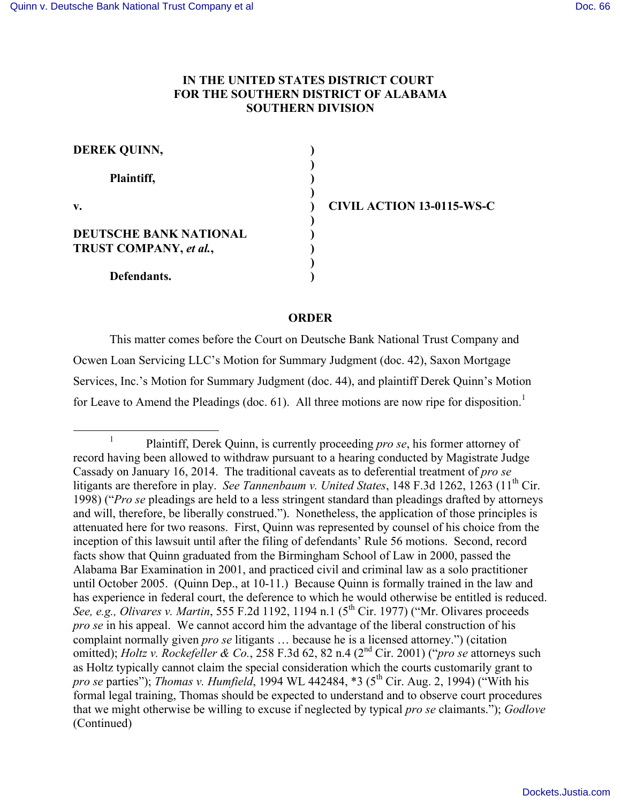## **IN THE UNITED STATES DISTRICT COURT FOR THE SOUTHERN DISTRICT OF ALABAMA SOUTHERN DIVISION**

| <b>DEREK QUINN,</b>    |  |
|------------------------|--|
| Plaintiff,             |  |
| v.                     |  |
| DEUTSCHE BANK NATIONAL |  |
| TRUST COMPANY, et al., |  |
| Defendants.            |  |

**v. ) CIVIL ACTION 13-0115-WS-C**

#### **ORDER**

This matter comes before the Court on Deutsche Bank National Trust Company and Ocwen Loan Servicing LLC's Motion for Summary Judgment (doc. 42), Saxon Mortgage Services, Inc.'s Motion for Summary Judgment (doc. 44), and plaintiff Derek Quinn's Motion for Leave to Amend the Pleadings (doc. 61). All three motions are now ripe for disposition.<sup>1</sup>

<sup>&</sup>lt;sup>1</sup> Plaintiff, Derek Quinn, is currently proceeding *pro se*, his former attorney of record having been allowed to withdraw pursuant to a hearing conducted by Magistrate Judge Cassady on January 16, 2014. The traditional caveats as to deferential treatment of *pro se* litigants are therefore in play. *See Tannenbaum v. United States*, 148 F.3d 1262, 1263 (11<sup>th</sup> Cir. 1998) ("*Pro se* pleadings are held to a less stringent standard than pleadings drafted by attorneys and will, therefore, be liberally construed."). Nonetheless, the application of those principles is attenuated here for two reasons. First, Quinn was represented by counsel of his choice from the inception of this lawsuit until after the filing of defendants' Rule 56 motions. Second, record facts show that Quinn graduated from the Birmingham School of Law in 2000, passed the Alabama Bar Examination in 2001, and practiced civil and criminal law as a solo practitioner until October 2005. (Quinn Dep., at 10-11.) Because Quinn is formally trained in the law and has experience in federal court, the deference to which he would otherwise be entitled is reduced. *See, e.g., Olivares v. Martin,* 555 F.2d 1192, 1194 n.1 (5<sup>th</sup> Cir. 1977) ("Mr. Olivares proceeds *pro se* in his appeal. We cannot accord him the advantage of the liberal construction of his complaint normally given *pro se* litigants … because he is a licensed attorney.") (citation omitted); *Holtz v. Rockefeller & Co.*, 258 F.3d 62, 82 n.4 (2nd Cir. 2001) ("*pro se* attorneys such as Holtz typically cannot claim the special consideration which the courts customarily grant to *pro se parties")*; *Thomas v. Humfield*, 1994 WL 442484, \*3 (5<sup>th</sup> Cir. Aug. 2, 1994) ("With his formal legal training, Thomas should be expected to understand and to observe court procedures that we might otherwise be willing to excuse if neglected by typical *pro se* claimants."); *Godlove*  (Continued)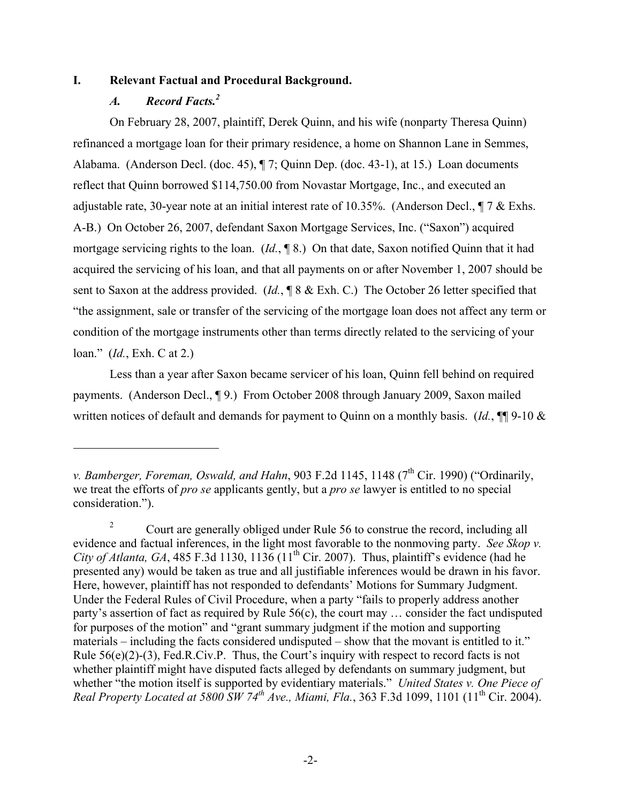#### **I. Relevant Factual and Procedural Background.**

## *A. Record Facts.2*

 $\overline{a}$ 

On February 28, 2007, plaintiff, Derek Quinn, and his wife (nonparty Theresa Quinn) refinanced a mortgage loan for their primary residence, a home on Shannon Lane in Semmes, Alabama. (Anderson Decl. (doc. 45), ¶ 7; Quinn Dep. (doc. 43-1), at 15.) Loan documents reflect that Quinn borrowed \$114,750.00 from Novastar Mortgage, Inc., and executed an adjustable rate, 30-year note at an initial interest rate of 10.35%. (Anderson Decl., ¶ 7 & Exhs. A-B.) On October 26, 2007, defendant Saxon Mortgage Services, Inc. ("Saxon") acquired mortgage servicing rights to the loan. (*Id.*, ¶ 8.) On that date, Saxon notified Quinn that it had acquired the servicing of his loan, and that all payments on or after November 1, 2007 should be sent to Saxon at the address provided. (*Id.*, ¶ 8 & Exh. C.) The October 26 letter specified that "the assignment, sale or transfer of the servicing of the mortgage loan does not affect any term or condition of the mortgage instruments other than terms directly related to the servicing of your loan." (*Id.*, Exh. C at 2.)

Less than a year after Saxon became servicer of his loan, Quinn fell behind on required payments. (Anderson Decl., ¶ 9.) From October 2008 through January 2009, Saxon mailed written notices of default and demands for payment to Ouinn on a monthly basis. (*Id.*, ¶¶ 9-10 &

*v. Bamberger, Foreman, Oswald, and Hahn, 903 F.2d 1145, 1148 (7<sup>th</sup> Cir. 1990) ("Ordinarily,* we treat the efforts of *pro se* applicants gently, but a *pro se* lawyer is entitled to no special consideration.").

<sup>&</sup>lt;sup>2</sup> Court are generally obliged under Rule 56 to construe the record, including all evidence and factual inferences, in the light most favorable to the nonmoving party. *See Skop v. City of Atlanta, GA*, 485 F.3d 1130, 1136 (11<sup>th</sup> Cir. 2007). Thus, plaintiff's evidence (had he presented any) would be taken as true and all justifiable inferences would be drawn in his favor. Here, however, plaintiff has not responded to defendants' Motions for Summary Judgment. Under the Federal Rules of Civil Procedure, when a party "fails to properly address another party's assertion of fact as required by Rule 56(c), the court may … consider the fact undisputed for purposes of the motion" and "grant summary judgment if the motion and supporting materials – including the facts considered undisputed – show that the movant is entitled to it." Rule  $56(e)(2)-(3)$ , Fed.R.Civ.P. Thus, the Court's inquiry with respect to record facts is not whether plaintiff might have disputed facts alleged by defendants on summary judgment, but whether "the motion itself is supported by evidentiary materials." *United States v. One Piece of Real Property Located at 5800 SW 74th Ave., Miami, Fla.*, 363 F.3d 1099, 1101 (11th Cir. 2004).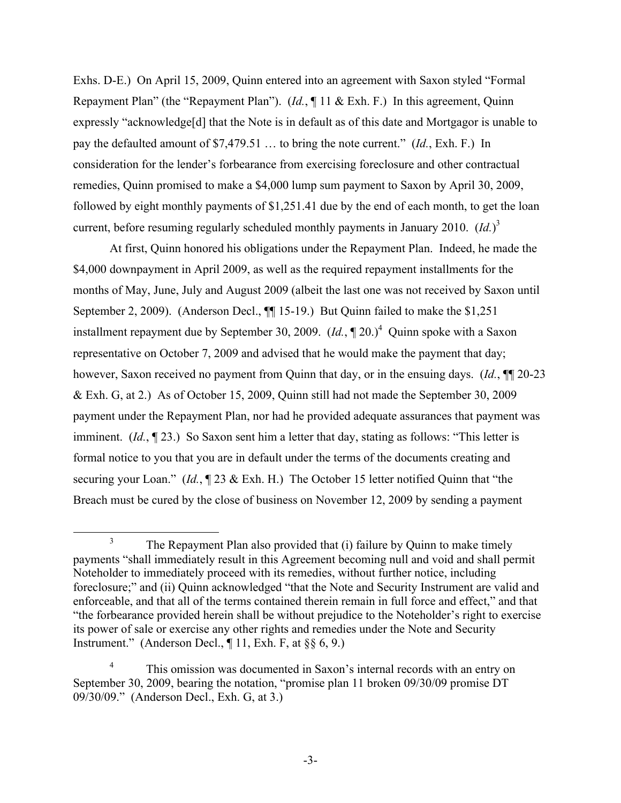Exhs. D-E.) On April 15, 2009, Quinn entered into an agreement with Saxon styled "Formal Repayment Plan" (the "Repayment Plan"). (*Id.*, ¶ 11 & Exh. F.) In this agreement, Quinn expressly "acknowledge[d] that the Note is in default as of this date and Mortgagor is unable to pay the defaulted amount of \$7,479.51 … to bring the note current." (*Id.*, Exh. F.) In consideration for the lender's forbearance from exercising foreclosure and other contractual remedies, Quinn promised to make a \$4,000 lump sum payment to Saxon by April 30, 2009, followed by eight monthly payments of \$1,251.41 due by the end of each month, to get the loan current, before resuming regularly scheduled monthly payments in January 2010. (*Id.*) 3

At first, Quinn honored his obligations under the Repayment Plan. Indeed, he made the \$4,000 downpayment in April 2009, as well as the required repayment installments for the months of May, June, July and August 2009 (albeit the last one was not received by Saxon until September 2, 2009). (Anderson Decl., ¶¶ 15-19.) But Quinn failed to make the \$1,251 installment repayment due by September 30, 2009.  $(Id., \P 20.)^4$  Quinn spoke with a Saxon representative on October 7, 2009 and advised that he would make the payment that day; however, Saxon received no payment from Quinn that day, or in the ensuing days. (*Id.*, ¶¶ 20-23 & Exh. G, at 2.) As of October 15, 2009, Quinn still had not made the September 30, 2009 payment under the Repayment Plan, nor had he provided adequate assurances that payment was imminent. (*Id.*, ¶ 23.) So Saxon sent him a letter that day, stating as follows: "This letter is formal notice to you that you are in default under the terms of the documents creating and securing your Loan." (*Id.*, ¶ 23 & Exh. H.) The October 15 letter notified Quinn that "the Breach must be cured by the close of business on November 12, 2009 by sending a payment

<sup>&</sup>lt;sup>3</sup> The Repayment Plan also provided that (i) failure by Quinn to make timely payments "shall immediately result in this Agreement becoming null and void and shall permit Noteholder to immediately proceed with its remedies, without further notice, including foreclosure;" and (ii) Quinn acknowledged "that the Note and Security Instrument are valid and enforceable, and that all of the terms contained therein remain in full force and effect," and that "the forbearance provided herein shall be without prejudice to the Noteholder's right to exercise its power of sale or exercise any other rights and remedies under the Note and Security Instrument." (Anderson Decl.,  $\P$  11, Exh. F, at  $\S$  6, 9.)

<sup>&</sup>lt;sup>4</sup> This omission was documented in Saxon's internal records with an entry on September 30, 2009, bearing the notation, "promise plan 11 broken 09/30/09 promise DT 09/30/09." (Anderson Decl., Exh. G, at 3.)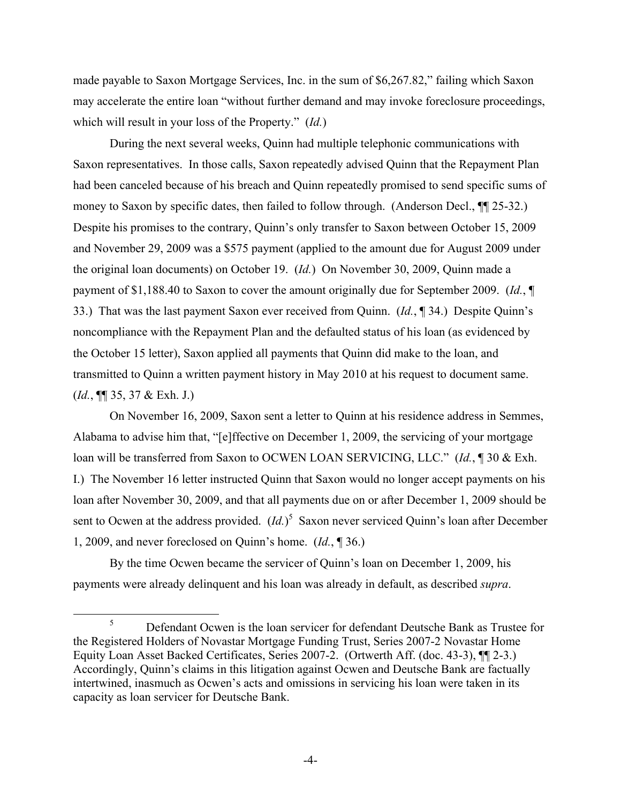made payable to Saxon Mortgage Services, Inc. in the sum of \$6,267.82," failing which Saxon may accelerate the entire loan "without further demand and may invoke foreclosure proceedings, which will result in your loss of the Property." (*Id.*)

During the next several weeks, Quinn had multiple telephonic communications with Saxon representatives. In those calls, Saxon repeatedly advised Quinn that the Repayment Plan had been canceled because of his breach and Quinn repeatedly promised to send specific sums of money to Saxon by specific dates, then failed to follow through. (Anderson Decl., ¶¶ 25-32.) Despite his promises to the contrary, Quinn's only transfer to Saxon between October 15, 2009 and November 29, 2009 was a \$575 payment (applied to the amount due for August 2009 under the original loan documents) on October 19. (*Id.*) On November 30, 2009, Quinn made a payment of \$1,188.40 to Saxon to cover the amount originally due for September 2009. (*Id.*, ¶ 33.) That was the last payment Saxon ever received from Quinn. (*Id.*, ¶ 34.) Despite Quinn's noncompliance with the Repayment Plan and the defaulted status of his loan (as evidenced by the October 15 letter), Saxon applied all payments that Quinn did make to the loan, and transmitted to Quinn a written payment history in May 2010 at his request to document same. (*Id.*, ¶¶ 35, 37 & Exh. J.)

On November 16, 2009, Saxon sent a letter to Quinn at his residence address in Semmes, Alabama to advise him that, "[e]ffective on December 1, 2009, the servicing of your mortgage loan will be transferred from Saxon to OCWEN LOAN SERVICING, LLC." (*Id.*, ¶ 30 & Exh. I.) The November 16 letter instructed Quinn that Saxon would no longer accept payments on his loan after November 30, 2009, and that all payments due on or after December 1, 2009 should be sent to Ocwen at the address provided.  $(Id.)^5$  Saxon never serviced Quinn's loan after December 1, 2009, and never foreclosed on Quinn's home. (*Id.*, ¶ 36.)

By the time Ocwen became the servicer of Quinn's loan on December 1, 2009, his payments were already delinquent and his loan was already in default, as described *supra*.

<sup>&</sup>lt;sup>5</sup> Defendant Ocwen is the loan servicer for defendant Deutsche Bank as Trustee for the Registered Holders of Novastar Mortgage Funding Trust, Series 2007-2 Novastar Home Equity Loan Asset Backed Certificates, Series 2007-2. (Ortwerth Aff. (doc. 43-3), ¶¶ 2-3.) Accordingly, Quinn's claims in this litigation against Ocwen and Deutsche Bank are factually intertwined, inasmuch as Ocwen's acts and omissions in servicing his loan were taken in its capacity as loan servicer for Deutsche Bank.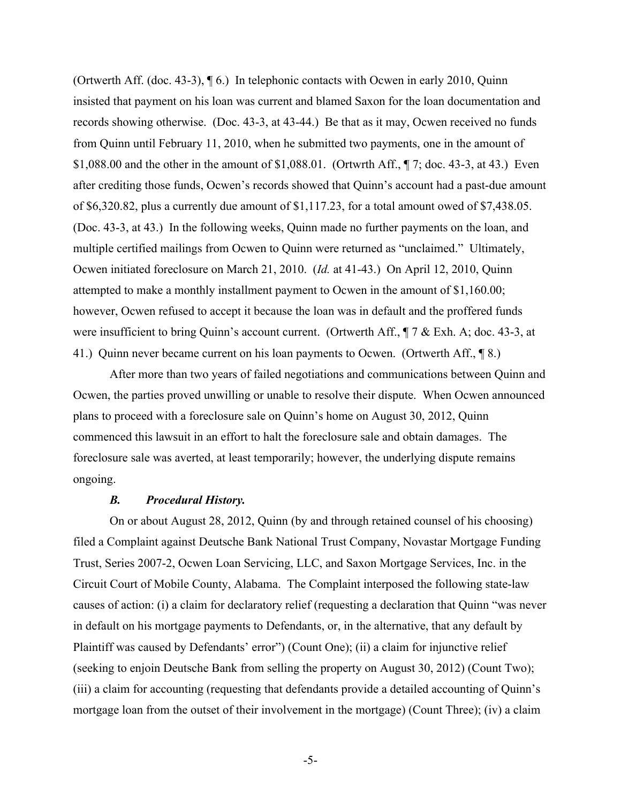(Ortwerth Aff. (doc. 43-3), ¶ 6.) In telephonic contacts with Ocwen in early 2010, Quinn insisted that payment on his loan was current and blamed Saxon for the loan documentation and records showing otherwise. (Doc. 43-3, at 43-44.) Be that as it may, Ocwen received no funds from Quinn until February 11, 2010, when he submitted two payments, one in the amount of \$1,088.00 and the other in the amount of \$1,088.01. (Ortwrth Aff., ¶ 7; doc. 43-3, at 43.) Even after crediting those funds, Ocwen's records showed that Quinn's account had a past-due amount of \$6,320.82, plus a currently due amount of \$1,117.23, for a total amount owed of \$7,438.05. (Doc. 43-3, at 43.) In the following weeks, Quinn made no further payments on the loan, and multiple certified mailings from Ocwen to Quinn were returned as "unclaimed." Ultimately, Ocwen initiated foreclosure on March 21, 2010. (*Id.* at 41-43.) On April 12, 2010, Quinn attempted to make a monthly installment payment to Ocwen in the amount of \$1,160.00; however, Ocwen refused to accept it because the loan was in default and the proffered funds were insufficient to bring Quinn's account current. (Ortwerth Aff.,  $\P$  7 & Exh. A; doc. 43-3, at 41.) Quinn never became current on his loan payments to Ocwen. (Ortwerth Aff., ¶ 8.)

After more than two years of failed negotiations and communications between Quinn and Ocwen, the parties proved unwilling or unable to resolve their dispute. When Ocwen announced plans to proceed with a foreclosure sale on Quinn's home on August 30, 2012, Quinn commenced this lawsuit in an effort to halt the foreclosure sale and obtain damages. The foreclosure sale was averted, at least temporarily; however, the underlying dispute remains ongoing.

#### *B. Procedural History.*

On or about August 28, 2012, Quinn (by and through retained counsel of his choosing) filed a Complaint against Deutsche Bank National Trust Company, Novastar Mortgage Funding Trust, Series 2007-2, Ocwen Loan Servicing, LLC, and Saxon Mortgage Services, Inc. in the Circuit Court of Mobile County, Alabama. The Complaint interposed the following state-law causes of action: (i) a claim for declaratory relief (requesting a declaration that Quinn "was never in default on his mortgage payments to Defendants, or, in the alternative, that any default by Plaintiff was caused by Defendants' error") (Count One); (ii) a claim for injunctive relief (seeking to enjoin Deutsche Bank from selling the property on August 30, 2012) (Count Two); (iii) a claim for accounting (requesting that defendants provide a detailed accounting of Quinn's mortgage loan from the outset of their involvement in the mortgage) (Count Three); (iv) a claim

-5-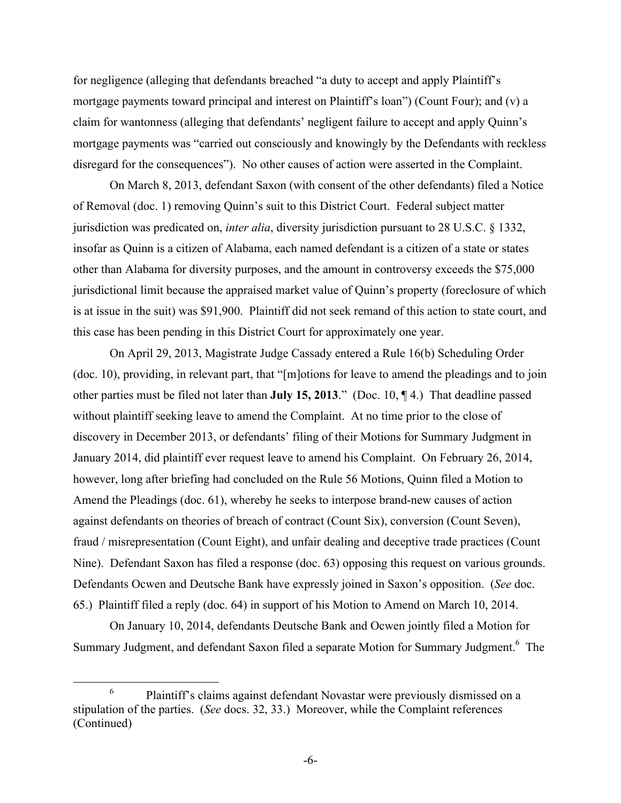for negligence (alleging that defendants breached "a duty to accept and apply Plaintiff's mortgage payments toward principal and interest on Plaintiff's loan") (Count Four); and (v) a claim for wantonness (alleging that defendants' negligent failure to accept and apply Quinn's mortgage payments was "carried out consciously and knowingly by the Defendants with reckless disregard for the consequences"). No other causes of action were asserted in the Complaint.

On March 8, 2013, defendant Saxon (with consent of the other defendants) filed a Notice of Removal (doc. 1) removing Quinn's suit to this District Court. Federal subject matter jurisdiction was predicated on, *inter alia*, diversity jurisdiction pursuant to 28 U.S.C. § 1332, insofar as Quinn is a citizen of Alabama, each named defendant is a citizen of a state or states other than Alabama for diversity purposes, and the amount in controversy exceeds the \$75,000 jurisdictional limit because the appraised market value of Quinn's property (foreclosure of which is at issue in the suit) was \$91,900. Plaintiff did not seek remand of this action to state court, and this case has been pending in this District Court for approximately one year.

On April 29, 2013, Magistrate Judge Cassady entered a Rule 16(b) Scheduling Order (doc. 10), providing, in relevant part, that "[m]otions for leave to amend the pleadings and to join other parties must be filed not later than **July 15, 2013**." (Doc. 10, ¶ 4.) That deadline passed without plaintiff seeking leave to amend the Complaint. At no time prior to the close of discovery in December 2013, or defendants' filing of their Motions for Summary Judgment in January 2014, did plaintiff ever request leave to amend his Complaint. On February 26, 2014, however, long after briefing had concluded on the Rule 56 Motions, Quinn filed a Motion to Amend the Pleadings (doc. 61), whereby he seeks to interpose brand-new causes of action against defendants on theories of breach of contract (Count Six), conversion (Count Seven), fraud / misrepresentation (Count Eight), and unfair dealing and deceptive trade practices (Count Nine). Defendant Saxon has filed a response (doc. 63) opposing this request on various grounds. Defendants Ocwen and Deutsche Bank have expressly joined in Saxon's opposition. (*See* doc. 65.) Plaintiff filed a reply (doc. 64) in support of his Motion to Amend on March 10, 2014.

On January 10, 2014, defendants Deutsche Bank and Ocwen jointly filed a Motion for Summary Judgment, and defendant Saxon filed a separate Motion for Summary Judgment.<sup>6</sup> The

 <sup>6</sup> Plaintiff's claims against defendant Novastar were previously dismissed on a stipulation of the parties. (*See* docs. 32, 33.) Moreover, while the Complaint references (Continued)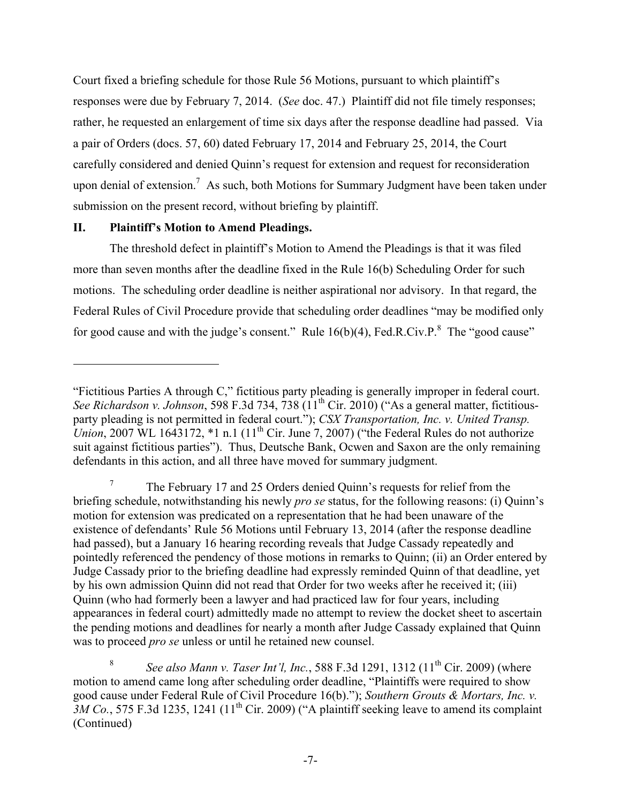Court fixed a briefing schedule for those Rule 56 Motions, pursuant to which plaintiff's responses were due by February 7, 2014. (*See* doc. 47.) Plaintiff did not file timely responses; rather, he requested an enlargement of time six days after the response deadline had passed. Via a pair of Orders (docs. 57, 60) dated February 17, 2014 and February 25, 2014, the Court carefully considered and denied Quinn's request for extension and request for reconsideration upon denial of extension.<sup>7</sup> As such, both Motions for Summary Judgment have been taken under submission on the present record, without briefing by plaintiff.

# **II. Plaintiff's Motion to Amend Pleadings.**

 $\overline{a}$ 

The threshold defect in plaintiff's Motion to Amend the Pleadings is that it was filed more than seven months after the deadline fixed in the Rule 16(b) Scheduling Order for such motions. The scheduling order deadline is neither aspirational nor advisory. In that regard, the Federal Rules of Civil Procedure provide that scheduling order deadlines "may be modified only for good cause and with the judge's consent." Rule  $16(b)(4)$ , Fed.R.Civ.P. $8$  The "good cause"

<sup>&</sup>quot;Fictitious Parties A through C," fictitious party pleading is generally improper in federal court. *See Richardson v. Johnson*, 598 F.3d 734, 738 (11<sup>th</sup> Cir. 2010) ("As a general matter, fictitiousparty pleading is not permitted in federal court."); *CSX Transportation, Inc. v. United Transp. Union*, 2007 WL 1643172, \*1 n.1 (11<sup>th</sup> Cir. June 7, 2007) ("the Federal Rules do not authorize suit against fictitious parties"). Thus, Deutsche Bank, Ocwen and Saxon are the only remaining defendants in this action, and all three have moved for summary judgment.

<sup>7</sup> The February 17 and 25 Orders denied Quinn's requests for relief from the briefing schedule, notwithstanding his newly *pro se* status, for the following reasons: (i) Quinn's motion for extension was predicated on a representation that he had been unaware of the existence of defendants' Rule 56 Motions until February 13, 2014 (after the response deadline had passed), but a January 16 hearing recording reveals that Judge Cassady repeatedly and pointedly referenced the pendency of those motions in remarks to Quinn; (ii) an Order entered by Judge Cassady prior to the briefing deadline had expressly reminded Quinn of that deadline, yet by his own admission Quinn did not read that Order for two weeks after he received it; (iii) Quinn (who had formerly been a lawyer and had practiced law for four years, including appearances in federal court) admittedly made no attempt to review the docket sheet to ascertain the pending motions and deadlines for nearly a month after Judge Cassady explained that Quinn was to proceed *pro se* unless or until he retained new counsel.

<sup>&</sup>lt;sup>8</sup> *See also Mann v. Taser Int'l, Inc.*, 588 F.3d 1291, 1312 (11<sup>th</sup> Cir. 2009) (where motion to amend came long after scheduling order deadline, "Plaintiffs were required to show good cause under Federal Rule of Civil Procedure 16(b)."); *Southern Grouts & Mortars, Inc. v.*   $3M$  Co., 575 F.3d 1235, 1241 (11<sup>th</sup> Cir. 2009) ("A plaintiff seeking leave to amend its complaint (Continued)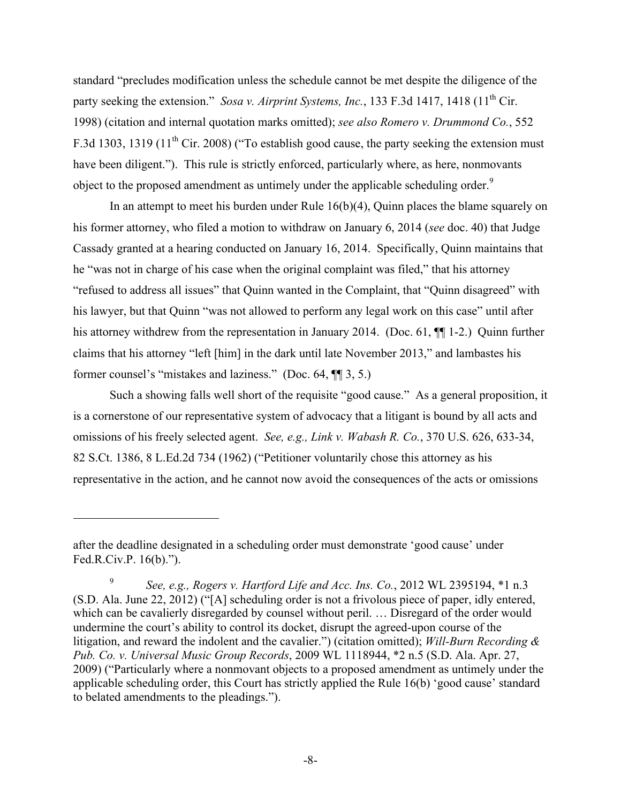standard "precludes modification unless the schedule cannot be met despite the diligence of the party seeking the extension." *Sosa v. Airprint Systems, Inc.*, 133 F.3d 1417, 1418 (11<sup>th</sup> Cir. 1998) (citation and internal quotation marks omitted); *see also Romero v. Drummond Co.*, 552 F.3d 1303, 1319 (11<sup>th</sup> Cir. 2008) ("To establish good cause, the party seeking the extension must have been diligent."). This rule is strictly enforced, particularly where, as here, nonmovants object to the proposed amendment as untimely under the applicable scheduling order.<sup>9</sup>

In an attempt to meet his burden under Rule  $16(b)(4)$ , Quinn places the blame squarely on his former attorney, who filed a motion to withdraw on January 6, 2014 (*see* doc. 40) that Judge Cassady granted at a hearing conducted on January 16, 2014. Specifically, Quinn maintains that he "was not in charge of his case when the original complaint was filed," that his attorney "refused to address all issues" that Quinn wanted in the Complaint, that "Quinn disagreed" with his lawyer, but that Quinn "was not allowed to perform any legal work on this case" until after his attorney withdrew from the representation in January 2014. (Doc. 61, ¶¶ 1-2.) Quinn further claims that his attorney "left [him] in the dark until late November 2013," and lambastes his former counsel's "mistakes and laziness." (Doc. 64, ¶¶ 3, 5.)

Such a showing falls well short of the requisite "good cause." As a general proposition, it is a cornerstone of our representative system of advocacy that a litigant is bound by all acts and omissions of his freely selected agent. *See, e.g., Link v. Wabash R. Co.*, 370 U.S. 626, 633-34, 82 S.Ct. 1386, 8 L.Ed.2d 734 (1962) ("Petitioner voluntarily chose this attorney as his representative in the action, and he cannot now avoid the consequences of the acts or omissions

 $\overline{a}$ 

after the deadline designated in a scheduling order must demonstrate 'good cause' under Fed.R.Civ.P. 16(b).").

<sup>9</sup> *See, e.g., Rogers v. Hartford Life and Acc. Ins. Co.*, 2012 WL 2395194, \*1 n.3 (S.D. Ala. June 22, 2012) ("[A] scheduling order is not a frivolous piece of paper, idly entered, which can be cavalierly disregarded by counsel without peril. … Disregard of the order would undermine the court's ability to control its docket, disrupt the agreed-upon course of the litigation, and reward the indolent and the cavalier.") (citation omitted); *Will-Burn Recording & Pub. Co. v. Universal Music Group Records*, 2009 WL 1118944, \*2 n.5 (S.D. Ala. Apr. 27, 2009) ("Particularly where a nonmovant objects to a proposed amendment as untimely under the applicable scheduling order, this Court has strictly applied the Rule 16(b) 'good cause' standard to belated amendments to the pleadings.").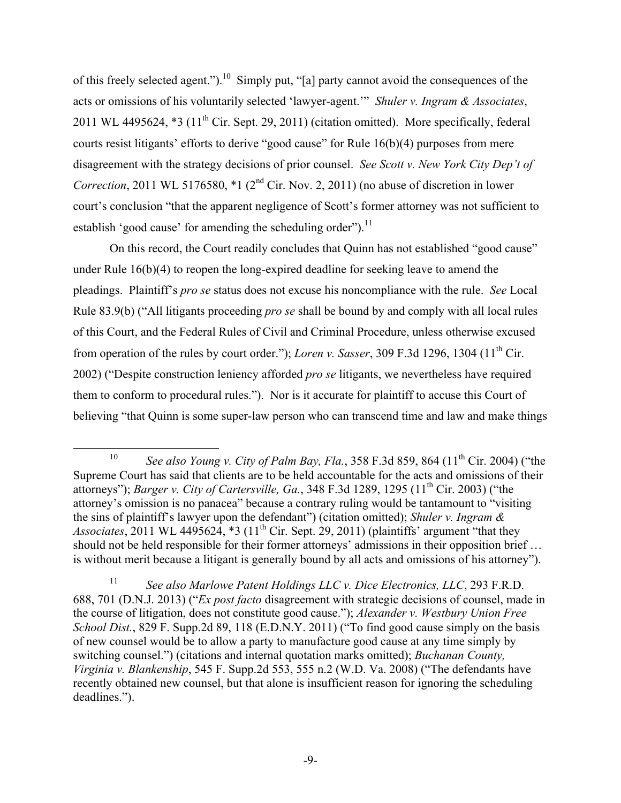of this freely selected agent.").<sup>10</sup> Simply put, "[a] party cannot avoid the consequences of the acts or omissions of his voluntarily selected 'lawyer-agent.'" *Shuler v. Ingram & Associates*, 2011 WL 4495624,  $*3$  (11<sup>th</sup> Cir. Sept. 29, 2011) (citation omitted). More specifically, federal courts resist litigants' efforts to derive "good cause" for Rule 16(b)(4) purposes from mere disagreement with the strategy decisions of prior counsel. *See Scott v. New York City Dep't of Correction*, 2011 WL 5176580,  $*1$  ( $2<sup>nd</sup>$  Cir. Nov. 2, 2011) (no abuse of discretion in lower court's conclusion "that the apparent negligence of Scott's former attorney was not sufficient to establish 'good cause' for amending the scheduling order").<sup>11</sup>

On this record, the Court readily concludes that Quinn has not established "good cause" under Rule 16(b)(4) to reopen the long-expired deadline for seeking leave to amend the pleadings. Plaintiff's *pro se* status does not excuse his noncompliance with the rule. *See* Local Rule 83.9(b) ("All litigants proceeding *pro se* shall be bound by and comply with all local rules of this Court, and the Federal Rules of Civil and Criminal Procedure, unless otherwise excused from operation of the rules by court order."); *Loren v. Sasser*, 309 F.3d 1296, 1304 (11<sup>th</sup> Cir. 2002) ("Despite construction leniency afforded *pro se* litigants, we nevertheless have required them to conform to procedural rules."). Nor is it accurate for plaintiff to accuse this Court of believing "that Quinn is some super-law person who can transcend time and law and make things

<sup>&</sup>lt;sup>10</sup> *See also Young v. City of Palm Bay, Fla.*, 358 F.3d 859, 864 (11<sup>th</sup> Cir. 2004) ("the Supreme Court has said that clients are to be held accountable for the acts and omissions of their attorneys"); *Barger v. City of Cartersville, Ga.*, 348 F.3d 1289, 1295 (11th Cir. 2003) ("the attorney's omission is no panacea" because a contrary ruling would be tantamount to "visiting the sins of plaintiff's lawyer upon the defendant") (citation omitted); *Shuler v. Ingram & Associates*, 2011 WL 4495624,  $*3$  (11<sup>th</sup> Cir. Sept. 29, 2011) (plaintiffs' argument "that they should not be held responsible for their former attorneys' admissions in their opposition brief … is without merit because a litigant is generally bound by all acts and omissions of his attorney").

<sup>11</sup> *See also Marlowe Patent Holdings LLC v. Dice Electronics, LLC*, 293 F.R.D. 688, 701 (D.N.J. 2013) ("*Ex post facto* disagreement with strategic decisions of counsel, made in the course of litigation, does not constitute good cause."); *Alexander v. Westbury Union Free School Dist.*, 829 F. Supp.2d 89, 118 (E.D.N.Y. 2011) ("To find good cause simply on the basis of new counsel would be to allow a party to manufacture good cause at any time simply by switching counsel.") (citations and internal quotation marks omitted); *Buchanan County, Virginia v. Blankenship*, 545 F. Supp.2d 553, 555 n.2 (W.D. Va. 2008) ("The defendants have recently obtained new counsel, but that alone is insufficient reason for ignoring the scheduling deadlines.").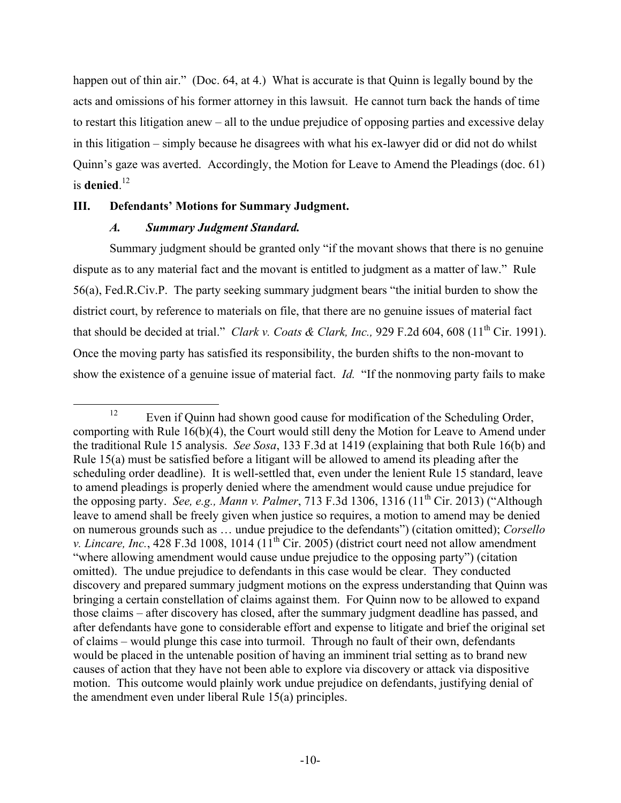happen out of thin air." (Doc. 64, at 4.) What is accurate is that Quinn is legally bound by the acts and omissions of his former attorney in this lawsuit. He cannot turn back the hands of time to restart this litigation anew – all to the undue prejudice of opposing parties and excessive delay in this litigation – simply because he disagrees with what his ex-lawyer did or did not do whilst Quinn's gaze was averted. Accordingly, the Motion for Leave to Amend the Pleadings (doc. 61) is **denied**. 12

## **III. Defendants' Motions for Summary Judgment.**

## *A. Summary Judgment Standard.*

Summary judgment should be granted only "if the movant shows that there is no genuine dispute as to any material fact and the movant is entitled to judgment as a matter of law." Rule 56(a), Fed.R.Civ.P. The party seeking summary judgment bears "the initial burden to show the district court, by reference to materials on file, that there are no genuine issues of material fact that should be decided at trial." *Clark v. Coats & Clark, Inc.*, 929 F.2d 604, 608 (11<sup>th</sup> Cir. 1991). Once the moving party has satisfied its responsibility, the burden shifts to the non-movant to show the existence of a genuine issue of material fact. *Id.* "If the nonmoving party fails to make

<sup>&</sup>lt;sup>12</sup> Even if Quinn had shown good cause for modification of the Scheduling Order, comporting with Rule 16(b)(4), the Court would still deny the Motion for Leave to Amend under the traditional Rule 15 analysis. *See Sosa*, 133 F.3d at 1419 (explaining that both Rule 16(b) and Rule 15(a) must be satisfied before a litigant will be allowed to amend its pleading after the scheduling order deadline). It is well-settled that, even under the lenient Rule 15 standard, leave to amend pleadings is properly denied where the amendment would cause undue prejudice for the opposing party. *See, e.g., Mann v. Palmer*, 713 F.3d 1306, 1316 (11th Cir. 2013) ("Although leave to amend shall be freely given when justice so requires, a motion to amend may be denied on numerous grounds such as … undue prejudice to the defendants") (citation omitted); *Corsello v. Lincare, Inc.*,  $428$  F.3d 1008, 1014 ( $11<sup>th</sup>$  Cir. 2005) (district court need not allow amendment "where allowing amendment would cause undue prejudice to the opposing party") (citation omitted). The undue prejudice to defendants in this case would be clear. They conducted discovery and prepared summary judgment motions on the express understanding that Quinn was bringing a certain constellation of claims against them. For Quinn now to be allowed to expand those claims – after discovery has closed, after the summary judgment deadline has passed, and after defendants have gone to considerable effort and expense to litigate and brief the original set of claims – would plunge this case into turmoil. Through no fault of their own, defendants would be placed in the untenable position of having an imminent trial setting as to brand new causes of action that they have not been able to explore via discovery or attack via dispositive motion. This outcome would plainly work undue prejudice on defendants, justifying denial of the amendment even under liberal Rule 15(a) principles.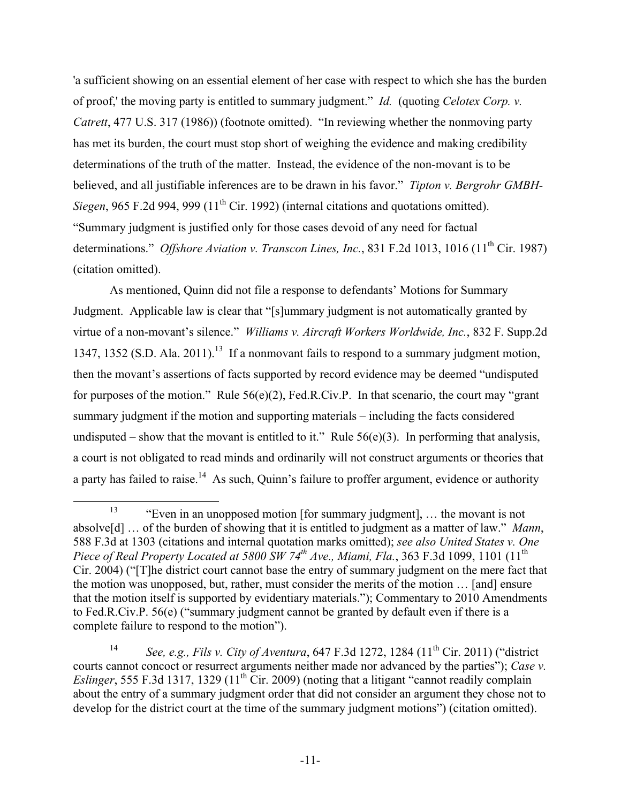'a sufficient showing on an essential element of her case with respect to which she has the burden of proof,' the moving party is entitled to summary judgment." *Id.* (quoting *Celotex Corp. v. Catrett*, 477 U.S. 317 (1986)) (footnote omitted). "In reviewing whether the nonmoving party has met its burden, the court must stop short of weighing the evidence and making credibility determinations of the truth of the matter. Instead, the evidence of the non-movant is to be believed, and all justifiable inferences are to be drawn in his favor." *Tipton v. Bergrohr GMBH-Siegen*, 965 F.2d 994, 999 (11<sup>th</sup> Cir. 1992) (internal citations and quotations omitted). "Summary judgment is justified only for those cases devoid of any need for factual determinations." *Offshore Aviation v. Transcon Lines, Inc.*, 831 F.2d 1013, 1016 (11<sup>th</sup> Cir. 1987) (citation omitted).

As mentioned, Quinn did not file a response to defendants' Motions for Summary Judgment. Applicable law is clear that "[s]ummary judgment is not automatically granted by virtue of a non-movant's silence." *Williams v. Aircraft Workers Worldwide, Inc.*, 832 F. Supp.2d 1347, 1352 (S.D. Ala. 2011).<sup>13</sup> If a nonmovant fails to respond to a summary judgment motion, then the movant's assertions of facts supported by record evidence may be deemed "undisputed for purposes of the motion." Rule 56(e)(2), Fed.R.Civ.P. In that scenario, the court may "grant summary judgment if the motion and supporting materials – including the facts considered undisputed – show that the movant is entitled to it." Rule  $56(e)(3)$ . In performing that analysis, a court is not obligated to read minds and ordinarily will not construct arguments or theories that a party has failed to raise.<sup>14</sup> As such, Quinn's failure to proffer argument, evidence or authority

<sup>&</sup>lt;sup>13</sup> "Even in an unopposed motion [for summary judgment], ... the movant is not absolve[d] … of the burden of showing that it is entitled to judgment as a matter of law." *Mann*, 588 F.3d at 1303 (citations and internal quotation marks omitted); *see also United States v. One Piece of Real Property Located at 5800 SW 74th Ave., Miami, Fla.*, 363 F.3d 1099, 1101 (11th Cir. 2004) ("[T]he district court cannot base the entry of summary judgment on the mere fact that the motion was unopposed, but, rather, must consider the merits of the motion … [and] ensure that the motion itself is supported by evidentiary materials."); Commentary to 2010 Amendments to Fed.R.Civ.P. 56(e) ("summary judgment cannot be granted by default even if there is a complete failure to respond to the motion").

<sup>&</sup>lt;sup>14</sup> *See, e.g., Fils v. City of Aventura, 647 F.3d 1272, 1284 (11<sup>th</sup> Cir. 2011) ("district"* courts cannot concoct or resurrect arguments neither made nor advanced by the parties"); *Case v. Eslinger*, 555 F.3d 1317, 1329 (11<sup>th</sup> Cir. 2009) (noting that a litigant "cannot readily complain about the entry of a summary judgment order that did not consider an argument they chose not to develop for the district court at the time of the summary judgment motions") (citation omitted).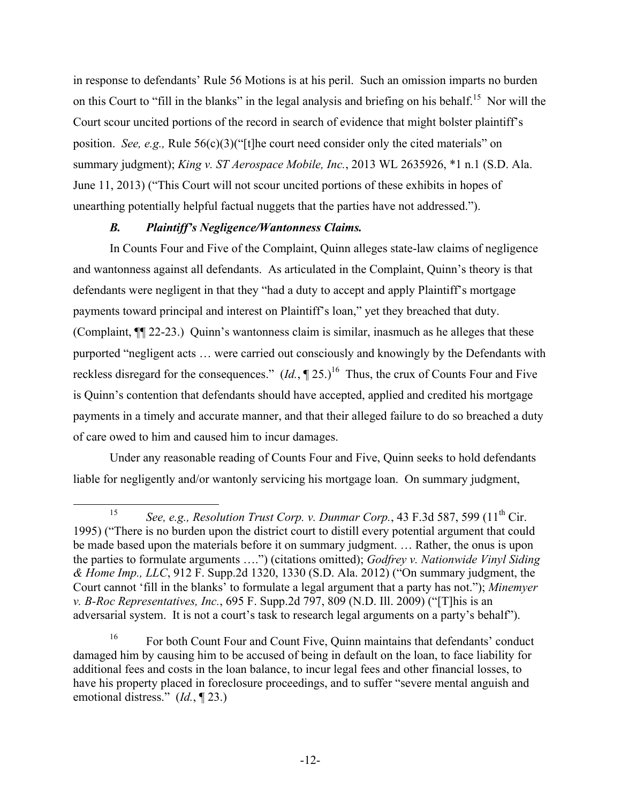in response to defendants' Rule 56 Motions is at his peril. Such an omission imparts no burden on this Court to "fill in the blanks" in the legal analysis and briefing on his behalf.<sup>15</sup> Nor will the Court scour uncited portions of the record in search of evidence that might bolster plaintiff's position. *See, e.g.,* Rule 56(c)(3)("[t]he court need consider only the cited materials" on summary judgment); *King v. ST Aerospace Mobile, Inc.*, 2013 WL 2635926, \*1 n.1 (S.D. Ala. June 11, 2013) ("This Court will not scour uncited portions of these exhibits in hopes of unearthing potentially helpful factual nuggets that the parties have not addressed.").

# *B. Plaintiff's Negligence/Wantonness Claims.*

In Counts Four and Five of the Complaint, Quinn alleges state-law claims of negligence and wantonness against all defendants. As articulated in the Complaint, Quinn's theory is that defendants were negligent in that they "had a duty to accept and apply Plaintiff's mortgage payments toward principal and interest on Plaintiff's loan," yet they breached that duty. (Complaint, ¶¶ 22-23.) Quinn's wantonness claim is similar, inasmuch as he alleges that these purported "negligent acts … were carried out consciously and knowingly by the Defendants with reckless disregard for the consequences."  $(Id, \P 25.)^{16}$  Thus, the crux of Counts Four and Five is Quinn's contention that defendants should have accepted, applied and credited his mortgage payments in a timely and accurate manner, and that their alleged failure to do so breached a duty of care owed to him and caused him to incur damages.

Under any reasonable reading of Counts Four and Five, Quinn seeks to hold defendants liable for negligently and/or wantonly servicing his mortgage loan. On summary judgment,

<sup>&</sup>lt;sup>15</sup> *See, e.g., Resolution Trust Corp. v. Dunmar Corp.*, 43 F.3d 587, 599 (11<sup>th</sup> Cir. 1995) ("There is no burden upon the district court to distill every potential argument that could be made based upon the materials before it on summary judgment. … Rather, the onus is upon the parties to formulate arguments ….") (citations omitted); *Godfrey v. Nationwide Vinyl Siding & Home Imp., LLC*, 912 F. Supp.2d 1320, 1330 (S.D. Ala. 2012) ("On summary judgment, the Court cannot 'fill in the blanks' to formulate a legal argument that a party has not."); *Minemyer v. B-Roc Representatives, Inc.*, 695 F. Supp.2d 797, 809 (N.D. Ill. 2009) ("[T]his is an adversarial system. It is not a court's task to research legal arguments on a party's behalf").

<sup>&</sup>lt;sup>16</sup> For both Count Four and Count Five, Quinn maintains that defendants' conduct damaged him by causing him to be accused of being in default on the loan, to face liability for additional fees and costs in the loan balance, to incur legal fees and other financial losses, to have his property placed in foreclosure proceedings, and to suffer "severe mental anguish and emotional distress." (*Id.*, ¶ 23.)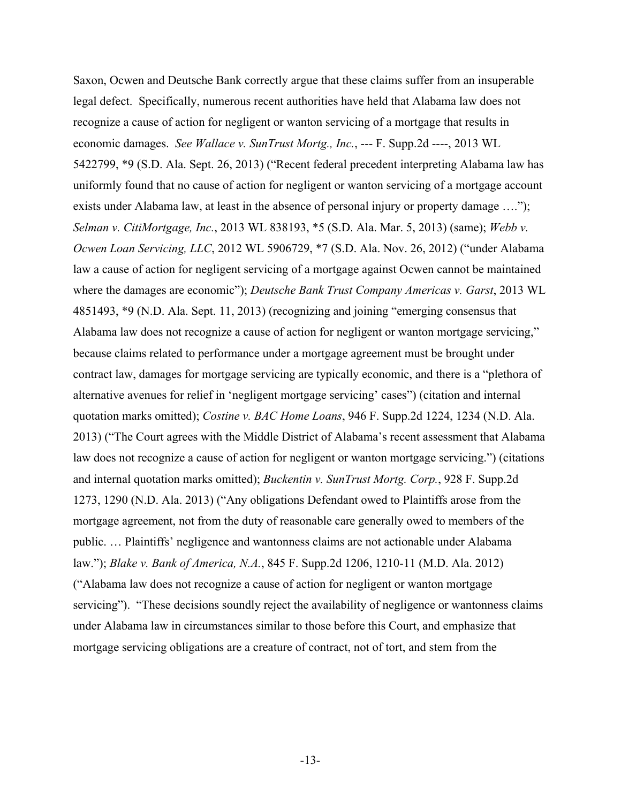Saxon, Ocwen and Deutsche Bank correctly argue that these claims suffer from an insuperable legal defect. Specifically, numerous recent authorities have held that Alabama law does not recognize a cause of action for negligent or wanton servicing of a mortgage that results in economic damages. *See Wallace v. SunTrust Mortg., Inc.*, --- F. Supp.2d ----, 2013 WL 5422799, \*9 (S.D. Ala. Sept. 26, 2013) ("Recent federal precedent interpreting Alabama law has uniformly found that no cause of action for negligent or wanton servicing of a mortgage account exists under Alabama law, at least in the absence of personal injury or property damage ...."); *Selman v. CitiMortgage, Inc.*, 2013 WL 838193, \*5 (S.D. Ala. Mar. 5, 2013) (same); *Webb v. Ocwen Loan Servicing, LLC*, 2012 WL 5906729, \*7 (S.D. Ala. Nov. 26, 2012) ("under Alabama law a cause of action for negligent servicing of a mortgage against Ocwen cannot be maintained where the damages are economic"); *Deutsche Bank Trust Company Americas v. Garst*, 2013 WL 4851493, \*9 (N.D. Ala. Sept. 11, 2013) (recognizing and joining "emerging consensus that Alabama law does not recognize a cause of action for negligent or wanton mortgage servicing," because claims related to performance under a mortgage agreement must be brought under contract law, damages for mortgage servicing are typically economic, and there is a "plethora of alternative avenues for relief in 'negligent mortgage servicing' cases") (citation and internal quotation marks omitted); *Costine v. BAC Home Loans*, 946 F. Supp.2d 1224, 1234 (N.D. Ala. 2013) ("The Court agrees with the Middle District of Alabama's recent assessment that Alabama law does not recognize a cause of action for negligent or wanton mortgage servicing.") (citations and internal quotation marks omitted); *Buckentin v. SunTrust Mortg. Corp.*, 928 F. Supp.2d 1273, 1290 (N.D. Ala. 2013) ("Any obligations Defendant owed to Plaintiffs arose from the mortgage agreement, not from the duty of reasonable care generally owed to members of the public. … Plaintiffs' negligence and wantonness claims are not actionable under Alabama law."); *Blake v. Bank of America, N.A.*, 845 F. Supp.2d 1206, 1210-11 (M.D. Ala. 2012) ("Alabama law does not recognize a cause of action for negligent or wanton mortgage servicing"). "These decisions soundly reject the availability of negligence or wantonness claims under Alabama law in circumstances similar to those before this Court, and emphasize that mortgage servicing obligations are a creature of contract, not of tort, and stem from the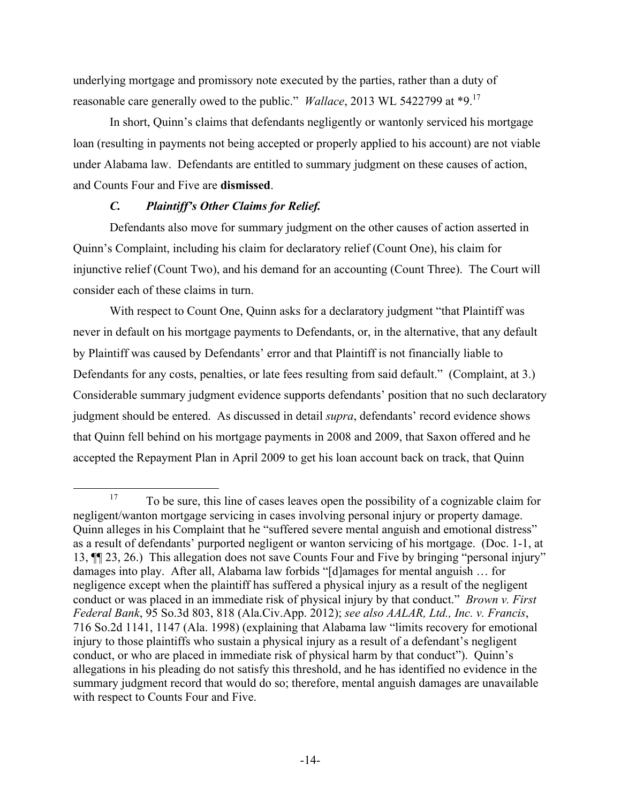underlying mortgage and promissory note executed by the parties, rather than a duty of reasonable care generally owed to the public." *Wallace*, 2013 WL 5422799 at \*9. 17

In short, Quinn's claims that defendants negligently or wantonly serviced his mortgage loan (resulting in payments not being accepted or properly applied to his account) are not viable under Alabama law. Defendants are entitled to summary judgment on these causes of action, and Counts Four and Five are **dismissed**.

## *C. Plaintiff's Other Claims for Relief.*

Defendants also move for summary judgment on the other causes of action asserted in Quinn's Complaint, including his claim for declaratory relief (Count One), his claim for injunctive relief (Count Two), and his demand for an accounting (Count Three). The Court will consider each of these claims in turn.

With respect to Count One, Quinn asks for a declaratory judgment "that Plaintiff was never in default on his mortgage payments to Defendants, or, in the alternative, that any default by Plaintiff was caused by Defendants' error and that Plaintiff is not financially liable to Defendants for any costs, penalties, or late fees resulting from said default." (Complaint, at 3.) Considerable summary judgment evidence supports defendants' position that no such declaratory judgment should be entered. As discussed in detail *supra*, defendants' record evidence shows that Quinn fell behind on his mortgage payments in 2008 and 2009, that Saxon offered and he accepted the Repayment Plan in April 2009 to get his loan account back on track, that Quinn

<sup>&</sup>lt;sup>17</sup> To be sure, this line of cases leaves open the possibility of a cognizable claim for negligent/wanton mortgage servicing in cases involving personal injury or property damage. Quinn alleges in his Complaint that he "suffered severe mental anguish and emotional distress" as a result of defendants' purported negligent or wanton servicing of his mortgage. (Doc. 1-1, at 13, ¶¶ 23, 26.) This allegation does not save Counts Four and Five by bringing "personal injury" damages into play. After all, Alabama law forbids "[d]amages for mental anguish … for negligence except when the plaintiff has suffered a physical injury as a result of the negligent conduct or was placed in an immediate risk of physical injury by that conduct." *Brown v. First Federal Bank*, 95 So.3d 803, 818 (Ala.Civ.App. 2012); *see also AALAR, Ltd., Inc. v. Francis*, 716 So.2d 1141, 1147 (Ala. 1998) (explaining that Alabama law "limits recovery for emotional injury to those plaintiffs who sustain a physical injury as a result of a defendant's negligent conduct, or who are placed in immediate risk of physical harm by that conduct"). Quinn's allegations in his pleading do not satisfy this threshold, and he has identified no evidence in the summary judgment record that would do so; therefore, mental anguish damages are unavailable with respect to Counts Four and Five.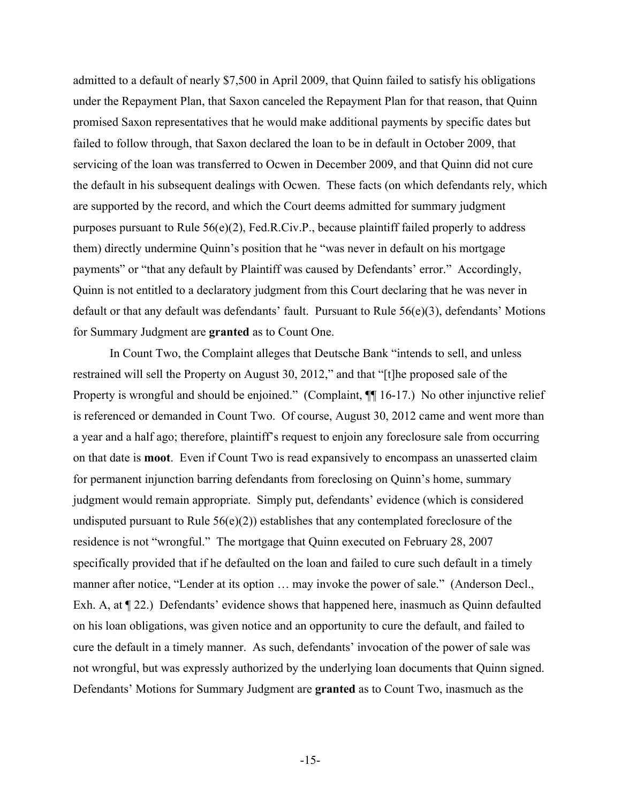admitted to a default of nearly \$7,500 in April 2009, that Quinn failed to satisfy his obligations under the Repayment Plan, that Saxon canceled the Repayment Plan for that reason, that Quinn promised Saxon representatives that he would make additional payments by specific dates but failed to follow through, that Saxon declared the loan to be in default in October 2009, that servicing of the loan was transferred to Ocwen in December 2009, and that Quinn did not cure the default in his subsequent dealings with Ocwen. These facts (on which defendants rely, which are supported by the record, and which the Court deems admitted for summary judgment purposes pursuant to Rule 56(e)(2), Fed.R.Civ.P., because plaintiff failed properly to address them) directly undermine Quinn's position that he "was never in default on his mortgage payments" or "that any default by Plaintiff was caused by Defendants' error." Accordingly, Quinn is not entitled to a declaratory judgment from this Court declaring that he was never in default or that any default was defendants' fault. Pursuant to Rule 56(e)(3), defendants' Motions for Summary Judgment are **granted** as to Count One.

In Count Two, the Complaint alleges that Deutsche Bank "intends to sell, and unless restrained will sell the Property on August 30, 2012," and that "[t]he proposed sale of the Property is wrongful and should be enjoined." (Complaint,  $\P\P$  16-17.) No other injunctive relief is referenced or demanded in Count Two. Of course, August 30, 2012 came and went more than a year and a half ago; therefore, plaintiff's request to enjoin any foreclosure sale from occurring on that date is **moot**. Even if Count Two is read expansively to encompass an unasserted claim for permanent injunction barring defendants from foreclosing on Quinn's home, summary judgment would remain appropriate. Simply put, defendants' evidence (which is considered undisputed pursuant to Rule  $56(e)(2)$ ) establishes that any contemplated foreclosure of the residence is not "wrongful." The mortgage that Quinn executed on February 28, 2007 specifically provided that if he defaulted on the loan and failed to cure such default in a timely manner after notice, "Lender at its option … may invoke the power of sale." (Anderson Decl., Exh. A, at ¶ 22.) Defendants' evidence shows that happened here, inasmuch as Quinn defaulted on his loan obligations, was given notice and an opportunity to cure the default, and failed to cure the default in a timely manner. As such, defendants' invocation of the power of sale was not wrongful, but was expressly authorized by the underlying loan documents that Quinn signed. Defendants' Motions for Summary Judgment are **granted** as to Count Two, inasmuch as the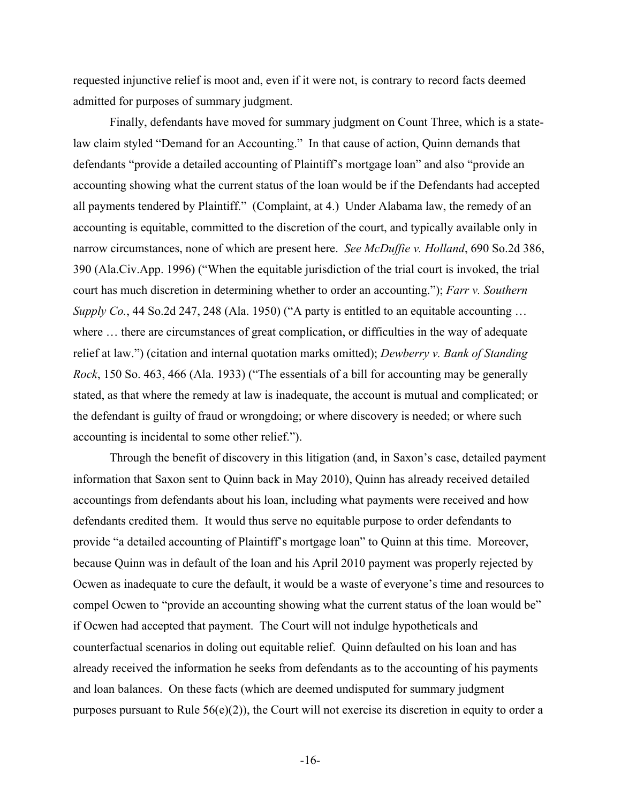requested injunctive relief is moot and, even if it were not, is contrary to record facts deemed admitted for purposes of summary judgment.

Finally, defendants have moved for summary judgment on Count Three, which is a statelaw claim styled "Demand for an Accounting." In that cause of action, Quinn demands that defendants "provide a detailed accounting of Plaintiff's mortgage loan" and also "provide an accounting showing what the current status of the loan would be if the Defendants had accepted all payments tendered by Plaintiff." (Complaint, at 4.) Under Alabama law, the remedy of an accounting is equitable, committed to the discretion of the court, and typically available only in narrow circumstances, none of which are present here. *See McDuffie v. Holland*, 690 So.2d 386, 390 (Ala.Civ.App. 1996) ("When the equitable jurisdiction of the trial court is invoked, the trial court has much discretion in determining whether to order an accounting."); *Farr v. Southern Supply Co.*, 44 So.2d 247, 248 (Ala. 1950) ("A party is entitled to an equitable accounting ... where  $\dots$  there are circumstances of great complication, or difficulties in the way of adequate relief at law.") (citation and internal quotation marks omitted); *Dewberry v. Bank of Standing Rock*, 150 So. 463, 466 (Ala. 1933) ("The essentials of a bill for accounting may be generally stated, as that where the remedy at law is inadequate, the account is mutual and complicated; or the defendant is guilty of fraud or wrongdoing; or where discovery is needed; or where such accounting is incidental to some other relief.").

Through the benefit of discovery in this litigation (and, in Saxon's case, detailed payment information that Saxon sent to Quinn back in May 2010), Quinn has already received detailed accountings from defendants about his loan, including what payments were received and how defendants credited them. It would thus serve no equitable purpose to order defendants to provide "a detailed accounting of Plaintiff's mortgage loan" to Quinn at this time. Moreover, because Quinn was in default of the loan and his April 2010 payment was properly rejected by Ocwen as inadequate to cure the default, it would be a waste of everyone's time and resources to compel Ocwen to "provide an accounting showing what the current status of the loan would be" if Ocwen had accepted that payment. The Court will not indulge hypotheticals and counterfactual scenarios in doling out equitable relief. Quinn defaulted on his loan and has already received the information he seeks from defendants as to the accounting of his payments and loan balances. On these facts (which are deemed undisputed for summary judgment purposes pursuant to Rule 56(e)(2)), the Court will not exercise its discretion in equity to order a